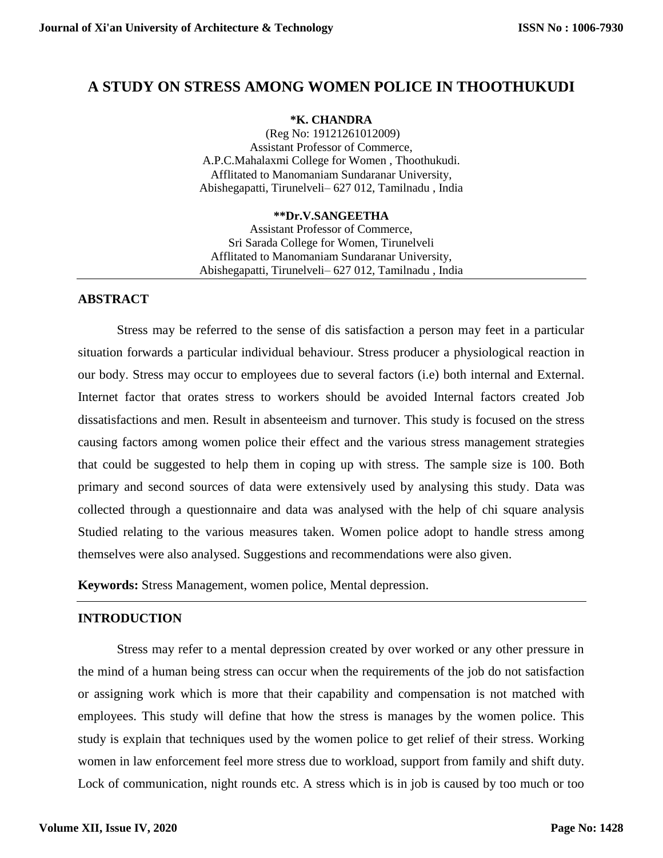# **A STUDY ON STRESS AMONG WOMEN POLICE IN THOOTHUKUDI**

#### **\*K. CHANDRA**

(Reg No: 19121261012009) Assistant Professor of Commerce, A.P.C.Mahalaxmi College for Women , Thoothukudi. Afflitated to Manomaniam Sundaranar University, Abishegapatti, Tirunelveli– 627 012, Tamilnadu , India

#### **\*\*Dr.V.SANGEETHA**

Assistant Professor of Commerce, Sri Sarada College for Women, Tirunelveli Afflitated to Manomaniam Sundaranar University, Abishegapatti, Tirunelveli– 627 012, Tamilnadu , India

## **ABSTRACT**

Stress may be referred to the sense of dis satisfaction a person may feet in a particular situation forwards a particular individual behaviour. Stress producer a physiological reaction in our body. Stress may occur to employees due to several factors (i.e) both internal and External. Internet factor that orates stress to workers should be avoided Internal factors created Job dissatisfactions and men. Result in absenteeism and turnover. This study is focused on the stress causing factors among women police their effect and the various stress management strategies that could be suggested to help them in coping up with stress. The sample size is 100. Both primary and second sources of data were extensively used by analysing this study. Data was collected through a questionnaire and data was analysed with the help of chi square analysis Studied relating to the various measures taken. Women police adopt to handle stress among themselves were also analysed. Suggestions and recommendations were also given.

**Keywords:** Stress Management, women police, Mental depression.

## **INTRODUCTION**

Stress may refer to a mental depression created by over worked or any other pressure in the mind of a human being stress can occur when the requirements of the job do not satisfaction or assigning work which is more that their capability and compensation is not matched with employees. This study will define that how the stress is manages by the women police. This study is explain that techniques used by the women police to get relief of their stress. Working women in law enforcement feel more stress due to workload, support from family and shift duty. Lock of communication, night rounds etc. A stress which is in job is caused by too much or too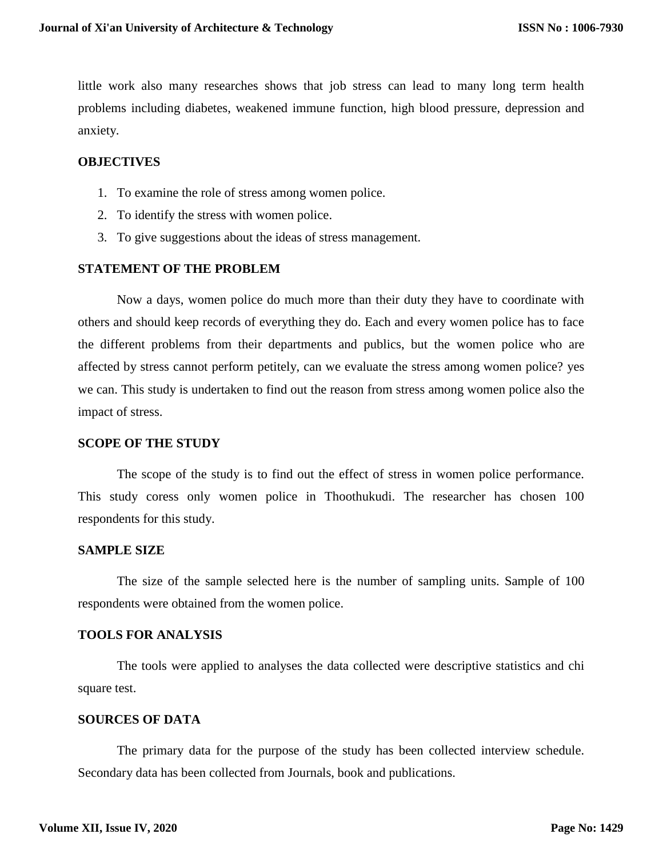little work also many researches shows that job stress can lead to many long term health problems including diabetes, weakened immune function, high blood pressure, depression and anxiety.

#### **OBJECTIVES**

- 1. To examine the role of stress among women police.
- 2. To identify the stress with women police.
- 3. To give suggestions about the ideas of stress management.

## **STATEMENT OF THE PROBLEM**

Now a days, women police do much more than their duty they have to coordinate with others and should keep records of everything they do. Each and every women police has to face the different problems from their departments and publics, but the women police who are affected by stress cannot perform petitely, can we evaluate the stress among women police? yes we can. This study is undertaken to find out the reason from stress among women police also the impact of stress.

#### **SCOPE OF THE STUDY**

The scope of the study is to find out the effect of stress in women police performance. This study coress only women police in Thoothukudi. The researcher has chosen 100 respondents for this study.

#### **SAMPLE SIZE**

The size of the sample selected here is the number of sampling units. Sample of 100 respondents were obtained from the women police.

#### **TOOLS FOR ANALYSIS**

The tools were applied to analyses the data collected were descriptive statistics and chi square test.

#### **SOURCES OF DATA**

The primary data for the purpose of the study has been collected interview schedule. Secondary data has been collected from Journals, book and publications.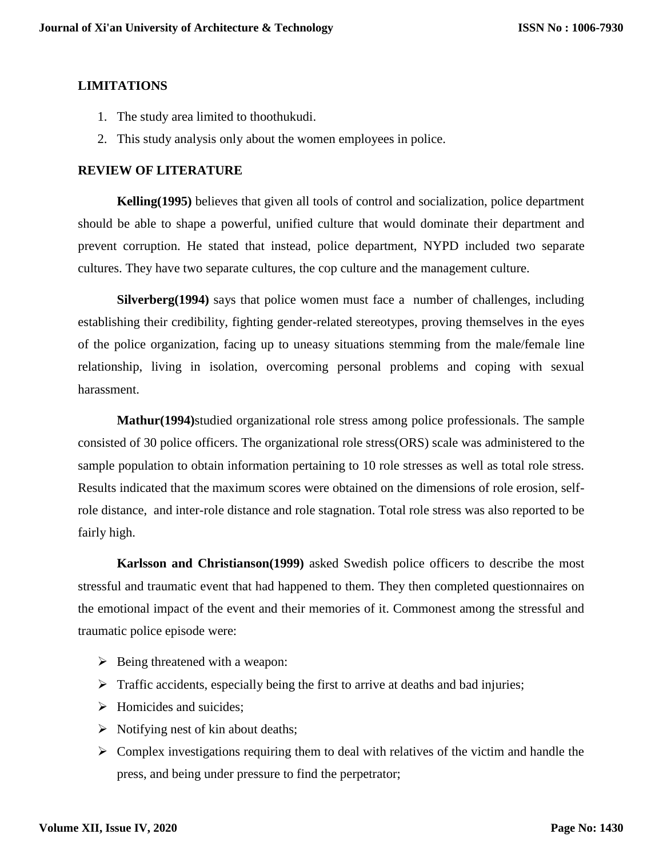## **LIMITATIONS**

- 1. The study area limited to thoothukudi.
- 2. This study analysis only about the women employees in police.

### **REVIEW OF LITERATURE**

**Kelling(1995)** believes that given all tools of control and socialization, police department should be able to shape a powerful, unified culture that would dominate their department and prevent corruption. He stated that instead, police department, NYPD included two separate cultures. They have two separate cultures, the cop culture and the management culture.

**Silverberg(1994)** says that police women must face a number of challenges, including establishing their credibility, fighting gender-related stereotypes, proving themselves in the eyes of the police organization, facing up to uneasy situations stemming from the male/female line relationship, living in isolation, overcoming personal problems and coping with sexual harassment.

**Mathur(1994)**studied organizational role stress among police professionals. The sample consisted of 30 police officers. The organizational role stress(ORS) scale was administered to the sample population to obtain information pertaining to 10 role stresses as well as total role stress. Results indicated that the maximum scores were obtained on the dimensions of role erosion, selfrole distance, and inter-role distance and role stagnation. Total role stress was also reported to be fairly high.

**Karlsson and Christianson(1999)** asked Swedish police officers to describe the most stressful and traumatic event that had happened to them. They then completed questionnaires on the emotional impact of the event and their memories of it. Commonest among the stressful and traumatic police episode were:

- $\triangleright$  Being threatened with a weapon:
- $\triangleright$  Traffic accidents, especially being the first to arrive at deaths and bad injuries;
- $\triangleright$  Homicides and suicides:
- $\triangleright$  Notifying nest of kin about deaths;
- $\triangleright$  Complex investigations requiring them to deal with relatives of the victim and handle the press, and being under pressure to find the perpetrator;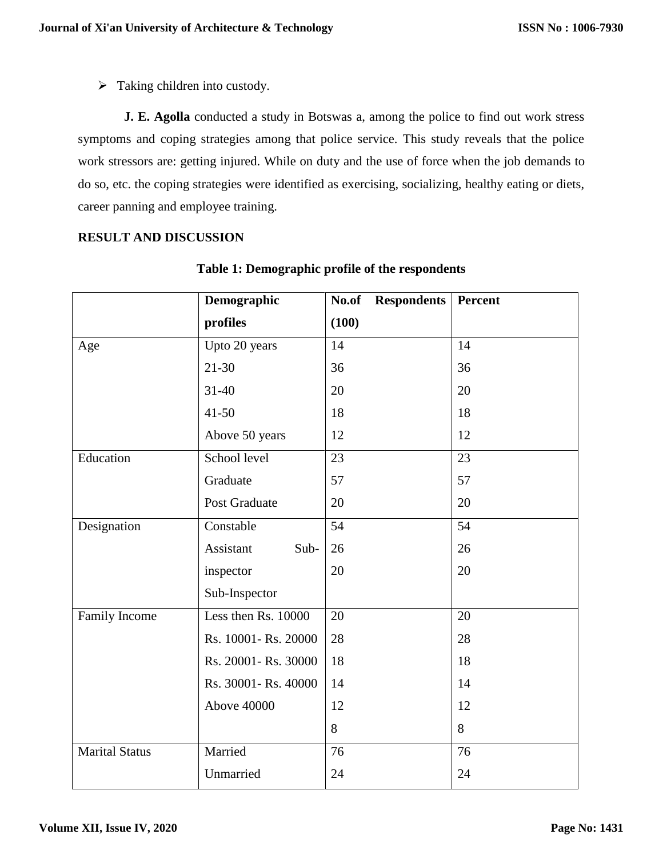$\triangleright$  Taking children into custody.

**J. E. Agolla** conducted a study in Botswas a, among the police to find out work stress symptoms and coping strategies among that police service. This study reveals that the police work stressors are: getting injured. While on duty and the use of force when the job demands to do so, etc. the coping strategies were identified as exercising, socializing, healthy eating or diets, career panning and employee training.

### **RESULT AND DISCUSSION**

|                       | Demographic          | <b>Respondents</b><br>No.of | Percent         |
|-----------------------|----------------------|-----------------------------|-----------------|
|                       | profiles             | (100)                       |                 |
| Age                   | Upto 20 years        | 14                          | 14              |
|                       | $21 - 30$            | 36                          | 36              |
|                       | $31 - 40$            | 20                          | 20              |
|                       | $41 - 50$            | 18                          | 18              |
|                       | Above 50 years       | 12                          | 12              |
| Education             | School level         | 23                          | $\overline{23}$ |
|                       | Graduate             | 57                          | 57              |
|                       | Post Graduate        | 20                          | 20              |
| Designation           | Constable            | $\overline{54}$             | $\overline{54}$ |
|                       | Assistant<br>Sub-    | 26                          | 26              |
|                       | inspector            | 20                          | 20              |
|                       | Sub-Inspector        |                             |                 |
| Family Income         | Less then Rs. 10000  | 20                          | 20              |
|                       | Rs. 10001- Rs. 20000 | 28                          | 28              |
|                       | Rs. 20001- Rs. 30000 | 18                          | 18              |
|                       | Rs. 30001- Rs. 40000 | 14                          | 14              |
| <b>Above 40000</b>    |                      | 12                          | 12              |
|                       |                      | 8                           | 8               |
| <b>Marital Status</b> | Married              | 76                          | 76              |
|                       | Unmarried            | 24                          | 24              |

### **Table 1: Demographic profile of the respondents**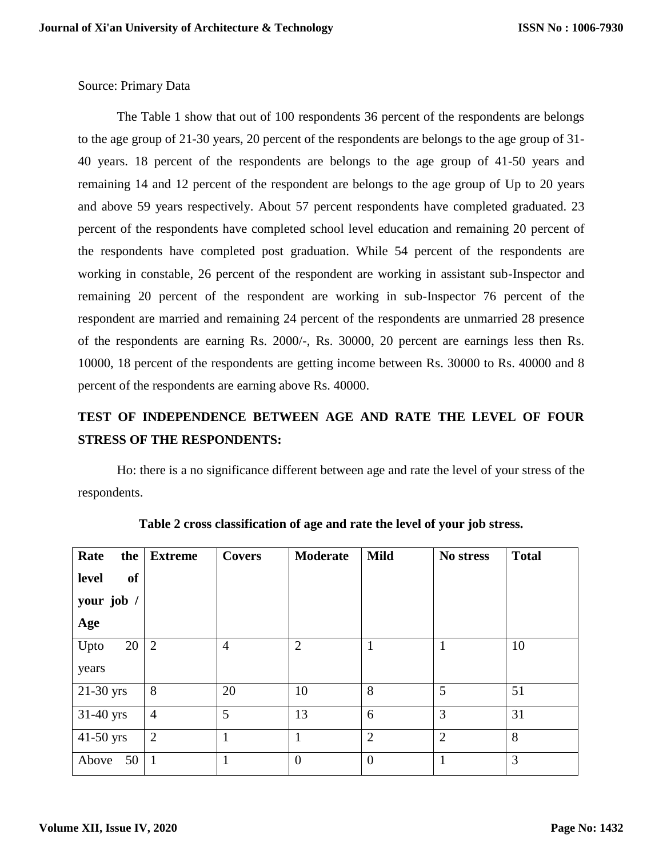Source: Primary Data

The Table 1 show that out of 100 respondents 36 percent of the respondents are belongs to the age group of 21-30 years, 20 percent of the respondents are belongs to the age group of 31- 40 years. 18 percent of the respondents are belongs to the age group of 41-50 years and remaining 14 and 12 percent of the respondent are belongs to the age group of Up to 20 years and above 59 years respectively. About 57 percent respondents have completed graduated. 23 percent of the respondents have completed school level education and remaining 20 percent of the respondents have completed post graduation. While 54 percent of the respondents are working in constable, 26 percent of the respondent are working in assistant sub-Inspector and remaining 20 percent of the respondent are working in sub-Inspector 76 percent of the respondent are married and remaining 24 percent of the respondents are unmarried 28 presence of the respondents are earning Rs. 2000/-, Rs. 30000, 20 percent are earnings less then Rs. 10000, 18 percent of the respondents are getting income between Rs. 30000 to Rs. 40000 and 8 percent of the respondents are earning above Rs. 40000.

# **TEST OF INDEPENDENCE BETWEEN AGE AND RATE THE LEVEL OF FOUR STRESS OF THE RESPONDENTS:**

Ho: there is a no significance different between age and rate the level of your stress of the respondents.

| Rate<br>the | <b>Extreme</b> | <b>Covers</b>  | <b>Moderate</b> | <b>Mild</b>    | No stress      | <b>Total</b> |
|-------------|----------------|----------------|-----------------|----------------|----------------|--------------|
| level<br>of |                |                |                 |                |                |              |
| your job /  |                |                |                 |                |                |              |
| Age         |                |                |                 |                |                |              |
| 20<br>Upto  | $\overline{2}$ | $\overline{4}$ | $\overline{2}$  | $\mathbf{1}$   | $\mathbf{1}$   | 10           |
| years       |                |                |                 |                |                |              |
| $21-30$ yrs | 8              | 20             | 10              | 8              | 5              | 51           |
| 31-40 yrs   | $\overline{4}$ | 5              | 13              | 6              | 3              | 31           |
| $41-50$ yrs | $\overline{2}$ | $\mathbf{1}$   | $\mathbf{1}$    | $\overline{2}$ | $\overline{2}$ | 8            |
| 50<br>Above | $\mathbf{1}$   | 1              | $\theta$        | $\overline{0}$ | $\mathbf{1}$   | 3            |

**Table 2 cross classification of age and rate the level of your job stress.**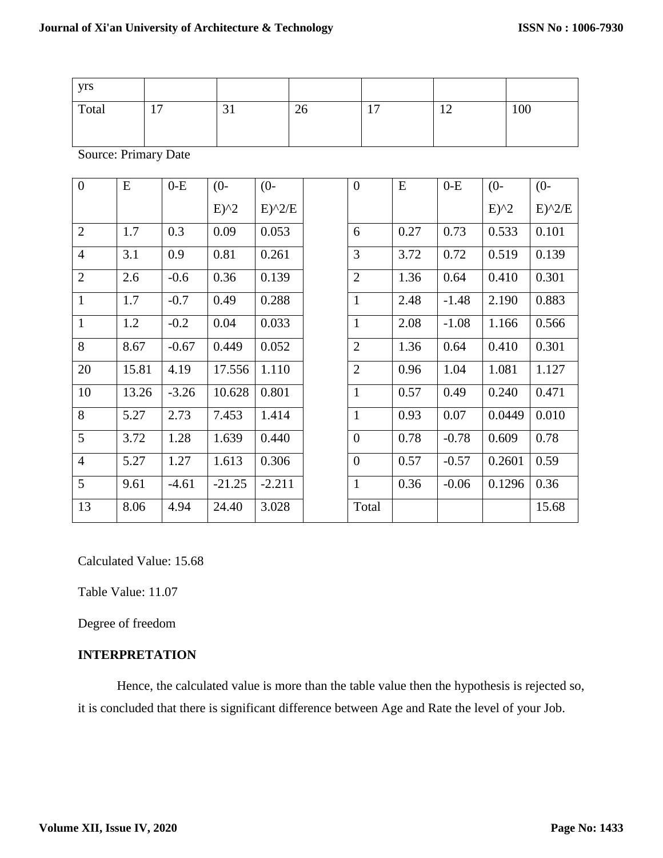| yrs            |                             |         |                                |          |    |                  |       |      |         |                                       |     |            |
|----------------|-----------------------------|---------|--------------------------------|----------|----|------------------|-------|------|---------|---------------------------------------|-----|------------|
| Total          | 17                          |         | 31                             |          | 26 |                  | 17    |      | 12      |                                       | 100 |            |
|                |                             |         |                                |          |    |                  |       |      |         |                                       |     |            |
|                | <b>Source: Primary Date</b> |         |                                |          |    |                  |       |      |         |                                       |     |            |
| $\overline{0}$ | ${\bf E}$                   | $0-E$   | $(0 -$                         | $(0-$    |    | $\boldsymbol{0}$ |       | E    | $0-E$   | $(0 -$                                |     | $(0-$      |
|                |                             |         | $E)$ <sup><math>2</math></sup> | $E)^2/E$ |    |                  |       |      |         | $E)$ <sup><math>\gamma</math></sup> 2 |     | $E)^{2}/E$ |
| $\overline{2}$ | 1.7                         | 0.3     | 0.09                           | 0.053    |    | 6                |       | 0.27 | 0.73    | 0.533                                 |     | 0.101      |
| $\overline{4}$ | 3.1                         | 0.9     | 0.81                           | 0.261    |    | 3                |       | 3.72 | 0.72    | 0.519                                 |     | 0.139      |
| $\overline{2}$ | 2.6                         | $-0.6$  | 0.36                           | 0.139    |    | $\overline{2}$   |       | 1.36 | 0.64    | 0.410                                 |     | 0.301      |
| $\mathbf{1}$   | 1.7                         | $-0.7$  | 0.49                           | 0.288    |    | $\mathbf{1}$     |       | 2.48 | $-1.48$ | 2.190                                 |     | 0.883      |
| $\mathbf{1}$   | 1.2                         | $-0.2$  | 0.04                           | 0.033    |    | $\mathbf{1}$     |       | 2.08 | $-1.08$ | 1.166                                 |     | 0.566      |
| 8              | 8.67                        | $-0.67$ | 0.449                          | 0.052    |    | $\overline{2}$   |       | 1.36 | 0.64    | 0.410                                 |     | 0.301      |
| 20             | 15.81                       | 4.19    | 17.556                         | 1.110    |    | $\overline{2}$   |       | 0.96 | 1.04    | 1.081                                 |     | 1.127      |
| 10             | 13.26                       | $-3.26$ | 10.628                         | 0.801    |    | $\mathbf{1}$     |       | 0.57 | 0.49    | 0.240                                 |     | 0.471      |
| 8              | 5.27                        | 2.73    | 7.453                          | 1.414    |    | $\mathbf{1}$     |       | 0.93 | 0.07    | 0.0449                                |     | 0.010      |
| 5              | 3.72                        | 1.28    | 1.639                          | 0.440    |    | $\boldsymbol{0}$ |       | 0.78 | $-0.78$ | 0.609                                 |     | 0.78       |
| $\overline{4}$ | 5.27                        | 1.27    | 1.613                          | 0.306    |    | $\overline{0}$   |       | 0.57 | $-0.57$ | 0.2601                                |     | 0.59       |
| 5              | 9.61                        | $-4.61$ | $-21.25$                       | $-2.211$ |    | $\mathbf{1}$     |       | 0.36 | $-0.06$ | 0.1296                                |     | 0.36       |
| 13             | 8.06                        | 4.94    | 24.40                          | 3.028    |    |                  | Total |      |         |                                       |     | 15.68      |

Calculated Value: 15.68

Table Value: 11.07

Degree of freedom

## **INTERPRETATION**

Hence, the calculated value is more than the table value then the hypothesis is rejected so, it is concluded that there is significant difference between Age and Rate the level of your Job.